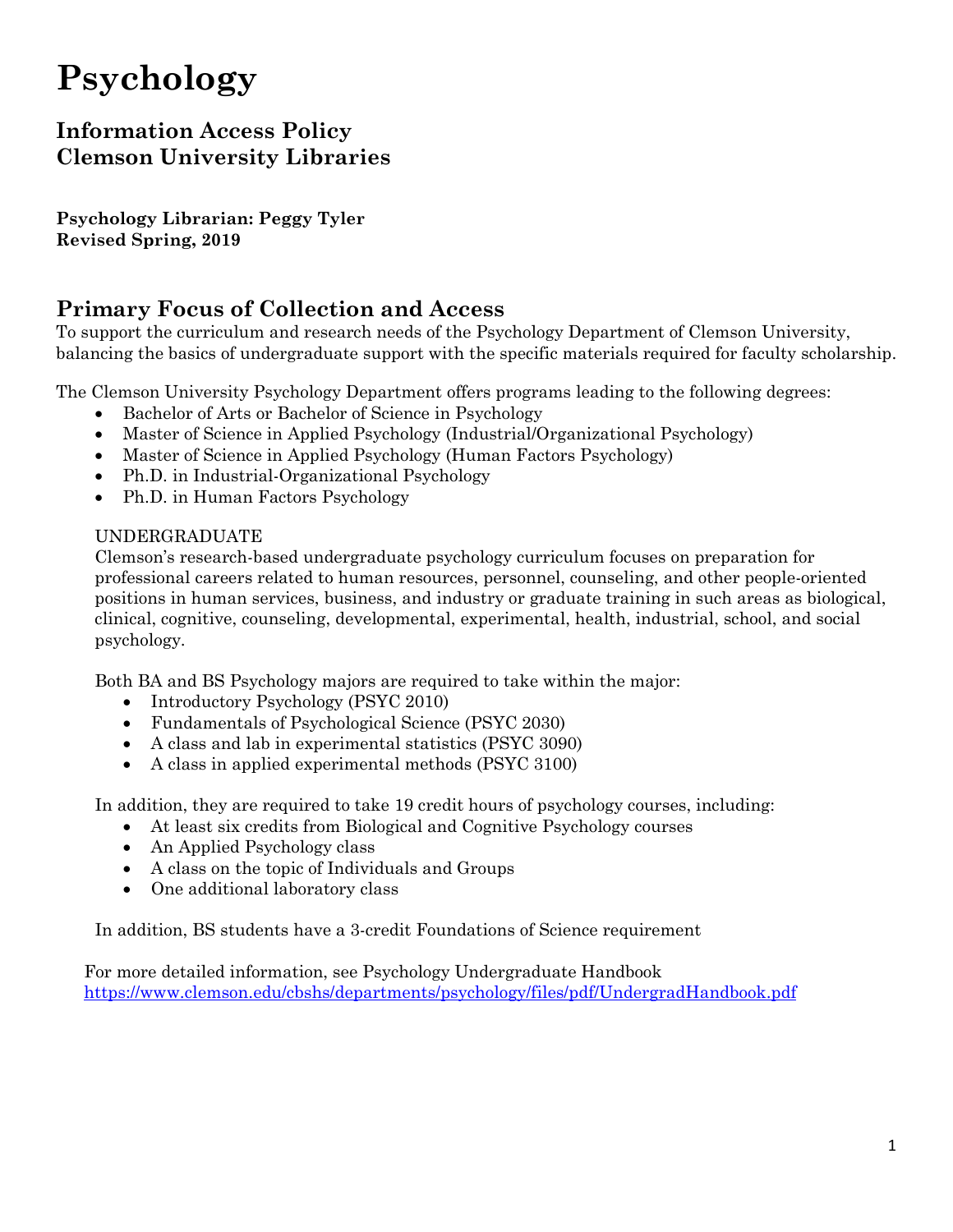# **Psychology**

# **Information Access Policy Clemson University Libraries**

**Psychology Librarian: Peggy Tyler Revised Spring, 2019**

# **Primary Focus of Collection and Access**

To support the curriculum and research needs of the Psychology Department of Clemson University, balancing the basics of undergraduate support with the specific materials required for faculty scholarship.

The Clemson University Psychology Department offers programs leading to the following degrees:

- Bachelor of Arts or Bachelor of Science in Psychology
- Master of Science in Applied Psychology (Industrial/Organizational Psychology)
- Master of Science in Applied Psychology (Human Factors Psychology)
- Ph.D. in Industrial-Organizational Psychology
- Ph.D. in Human Factors Psychology

### UNDERGRADUATE

Clemson's research-based undergraduate psychology curriculum focuses on preparation for professional careers related to human resources, personnel, counseling, and other people-oriented positions in human services, business, and industry or graduate training in such areas as biological, clinical, cognitive, counseling, developmental, experimental, health, industrial, school, and social psychology.

Both BA and BS Psychology majors are required to take within the major:

- Introductory Psychology (PSYC 2010)
- Fundamentals of Psychological Science (PSYC 2030)
- A class and lab in experimental statistics (PSYC 3090)
- A class in applied experimental methods (PSYC 3100)

In addition, they are required to take 19 credit hours of psychology courses, including:

- At least six credits from Biological and Cognitive Psychology courses
- An Applied Psychology class
- A class on the topic of Individuals and Groups
- One additional laboratory class

In addition, BS students have a 3-credit Foundations of Science requirement

For more detailed information, see Psychology Undergraduate Handbook <https://www.clemson.edu/cbshs/departments/psychology/files/pdf/UndergradHandbook.pdf>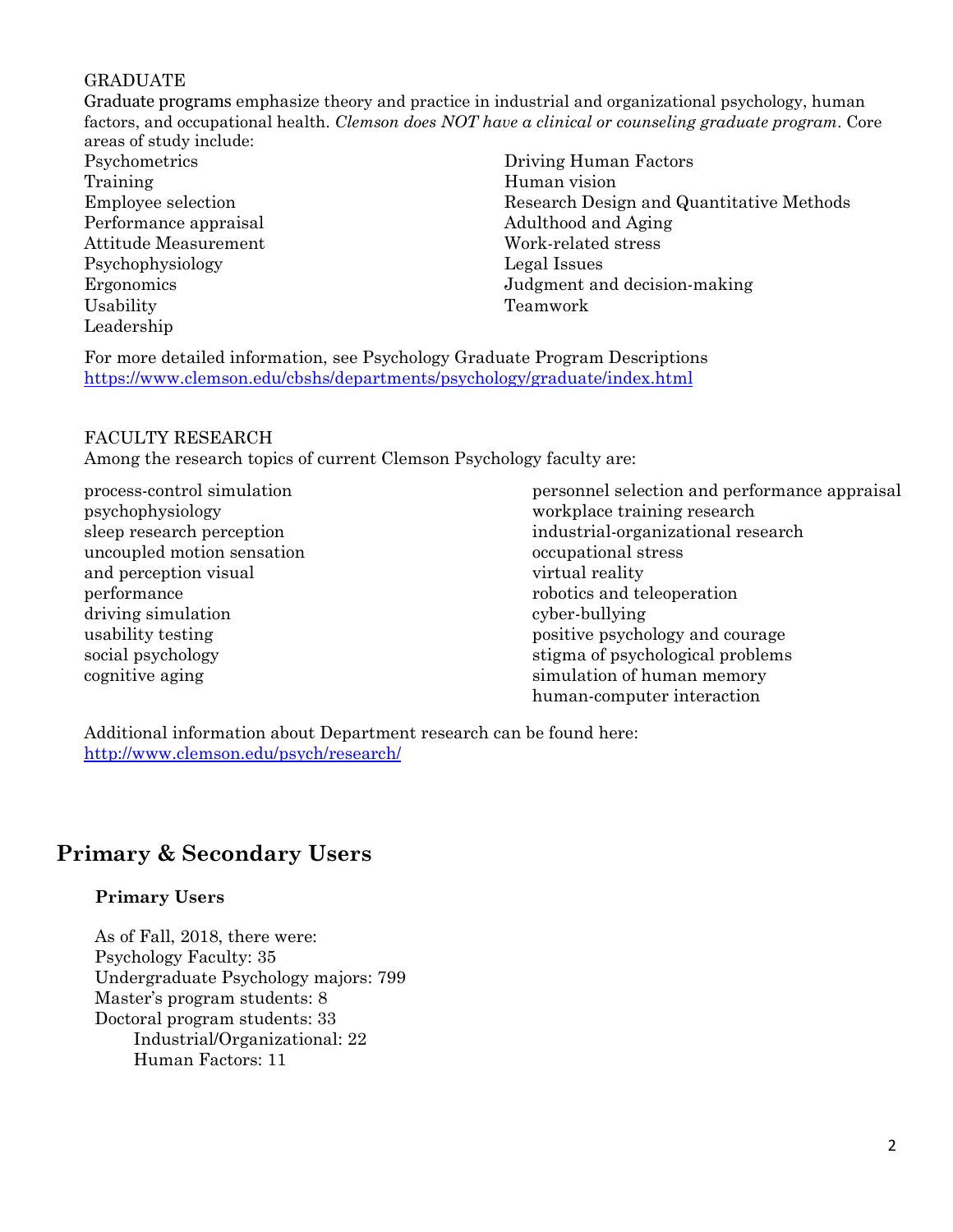### GRADUATE

Graduate programs emphasize theory and practice in industrial and organizational psychology, human factors, and occupational health. *Clemson does NOT have a clinical or counseling graduate program*. Core areas of study include:

Psychometrics Training Employee selection Performance appraisal Attitude Measurement Psychophysiology Ergonomics Usability Leadership

Driving Human Factors Human vision Research Design and Quantitative Methods Adulthood and Aging Work-related stress Legal Issues Judgment and decision-making Teamwork

For more detailed information, see Psychology Graduate Program Descriptions <https://www.clemson.edu/cbshs/departments/psychology/graduate/index.html>

### FACULTY RESEARCH

Among the research topics of current Clemson Psychology faculty are:

process-control simulation psychophysiology sleep research perception uncoupled motion sensation and perception visual performance driving simulation usability testing social psychology cognitive aging

personnel selection and performance appraisal workplace training research industrial-organizational research occupational stress virtual reality robotics and teleoperation cyber-bullying positive psychology and courage stigma of psychological problems simulation of human memory human-computer interaction

Additional information about Department research can be found here: <http://www.clemson.edu/psych/research/>

# **Primary & Secondary Users**

### **Primary Users**

As of Fall, 2018, there were: Psychology Faculty: 35 Undergraduate Psychology majors: 799 Master's program students: 8 Doctoral program students: 33 Industrial/Organizational: 22 Human Factors: 11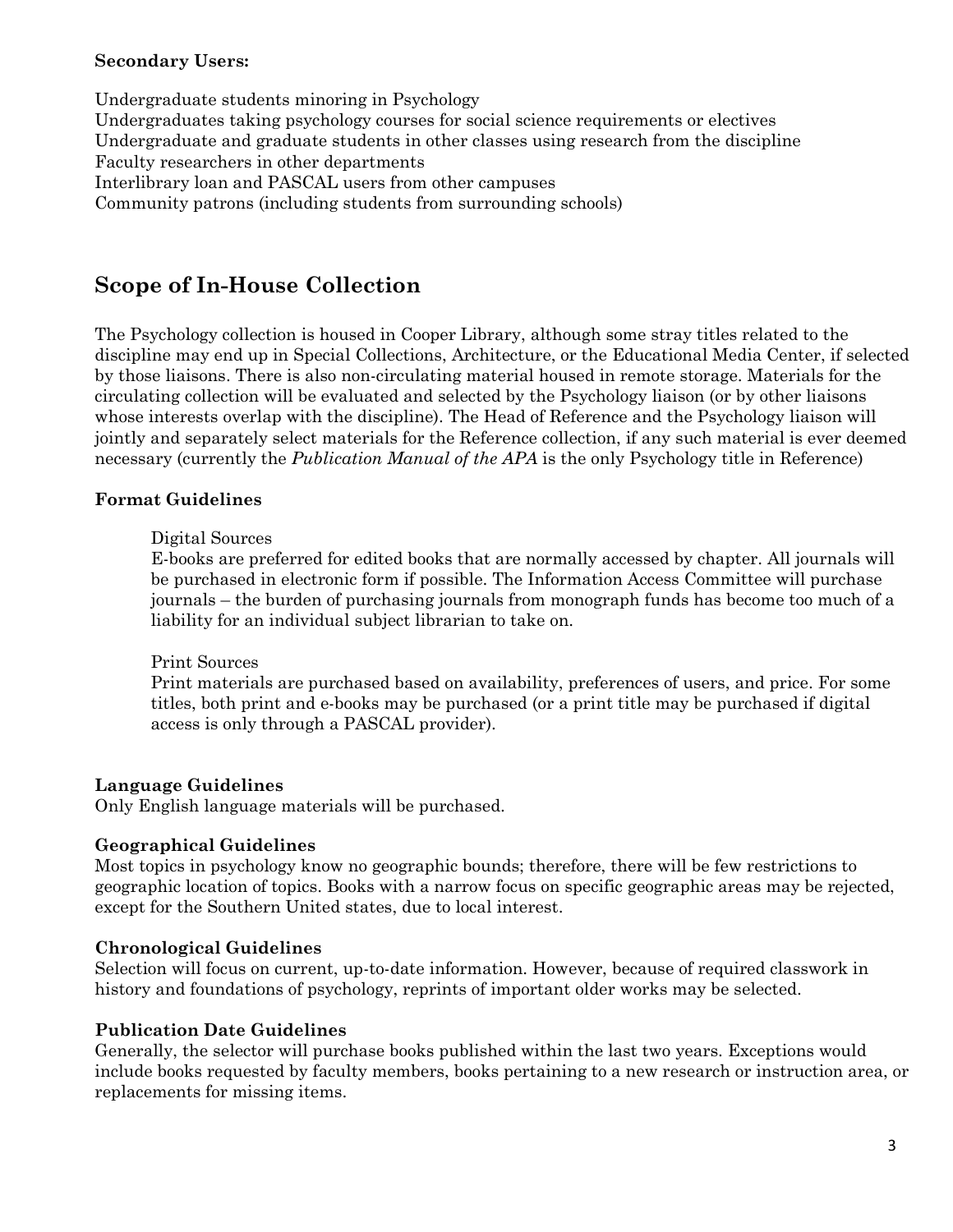### **Secondary Users:**

Undergraduate students minoring in Psychology Undergraduates taking psychology courses for social science requirements or electives Undergraduate and graduate students in other classes using research from the discipline Faculty researchers in other departments Interlibrary loan and PASCAL users from other campuses Community patrons (including students from surrounding schools)

# **Scope of In-House Collection**

The Psychology collection is housed in Cooper Library, although some stray titles related to the discipline may end up in Special Collections, Architecture, or the Educational Media Center, if selected by those liaisons. There is also non-circulating material housed in remote storage. Materials for the circulating collection will be evaluated and selected by the Psychology liaison (or by other liaisons whose interests overlap with the discipline). The Head of Reference and the Psychology liaison will jointly and separately select materials for the Reference collection, if any such material is ever deemed necessary (currently the *Publication Manual of the APA* is the only Psychology title in Reference)

### **Format Guidelines**

### Digital Sources

E-books are preferred for edited books that are normally accessed by chapter. All journals will be purchased in electronic form if possible. The Information Access Committee will purchase journals – the burden of purchasing journals from monograph funds has become too much of a liability for an individual subject librarian to take on.

### Print Sources

Print materials are purchased based on availability, preferences of users, and price. For some titles, both print and e-books may be purchased (or a print title may be purchased if digital access is only through a PASCAL provider).

### **Language Guidelines**

Only English language materials will be purchased.

### **Geographical Guidelines**

Most topics in psychology know no geographic bounds; therefore, there will be few restrictions to geographic location of topics. Books with a narrow focus on specific geographic areas may be rejected, except for the Southern United states, due to local interest.

### **Chronological Guidelines**

Selection will focus on current, up-to-date information. However, because of required classwork in history and foundations of psychology, reprints of important older works may be selected.

### **Publication Date Guidelines**

Generally, the selector will purchase books published within the last two years. Exceptions would include books requested by faculty members, books pertaining to a new research or instruction area, or replacements for missing items.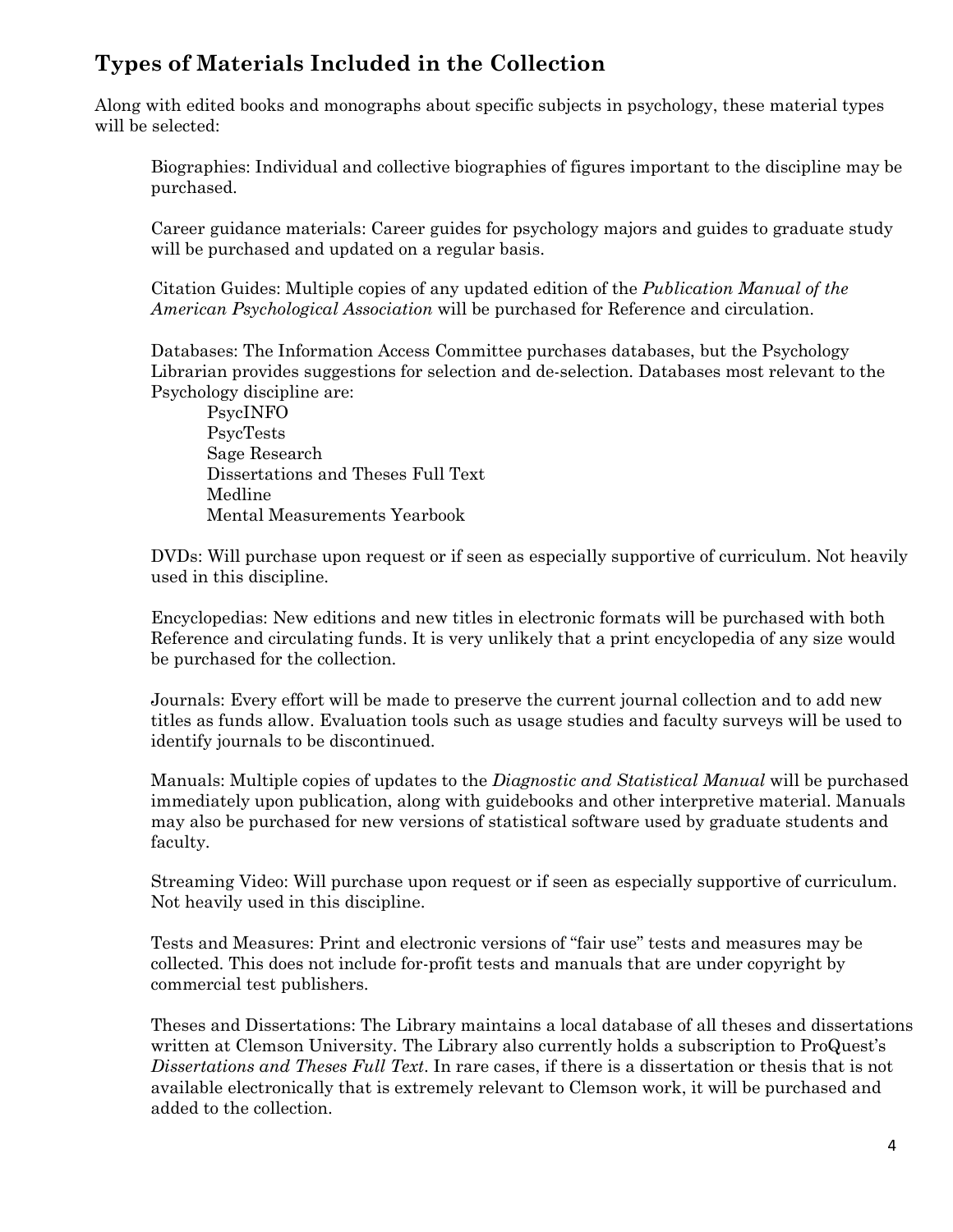# **Types of Materials Included in the Collection**

Along with edited books and monographs about specific subjects in psychology, these material types will be selected:

Biographies: Individual and collective biographies of figures important to the discipline may be purchased.

Career guidance materials: Career guides for psychology majors and guides to graduate study will be purchased and updated on a regular basis.

Citation Guides: Multiple copies of any updated edition of the *Publication Manual of the American Psychological Association* will be purchased for Reference and circulation.

Databases: The Information Access Committee purchases databases, but the Psychology Librarian provides suggestions for selection and de-selection. Databases most relevant to the Psychology discipline are:

PsycINFO PsycTests Sage Research Dissertations and Theses Full Text Medline Mental Measurements Yearbook

DVDs: Will purchase upon request or if seen as especially supportive of curriculum. Not heavily used in this discipline.

Encyclopedias: New editions and new titles in electronic formats will be purchased with both Reference and circulating funds. It is very unlikely that a print encyclopedia of any size would be purchased for the collection.

Journals: Every effort will be made to preserve the current journal collection and to add new titles as funds allow. Evaluation tools such as usage studies and faculty surveys will be used to identify journals to be discontinued.

Manuals: Multiple copies of updates to the *Diagnostic and Statistical Manual* will be purchased immediately upon publication, along with guidebooks and other interpretive material. Manuals may also be purchased for new versions of statistical software used by graduate students and faculty.

Streaming Video: Will purchase upon request or if seen as especially supportive of curriculum. Not heavily used in this discipline.

Tests and Measures: Print and electronic versions of "fair use" tests and measures may be collected. This does not include for-profit tests and manuals that are under copyright by commercial test publishers.

Theses and Dissertations: The Library maintains a local database of all theses and dissertations written at Clemson University. The Library also currently holds a subscription to ProQuest's *Dissertations and Theses Full Text*. In rare cases, if there is a dissertation or thesis that is not available electronically that is extremely relevant to Clemson work, it will be purchased and added to the collection.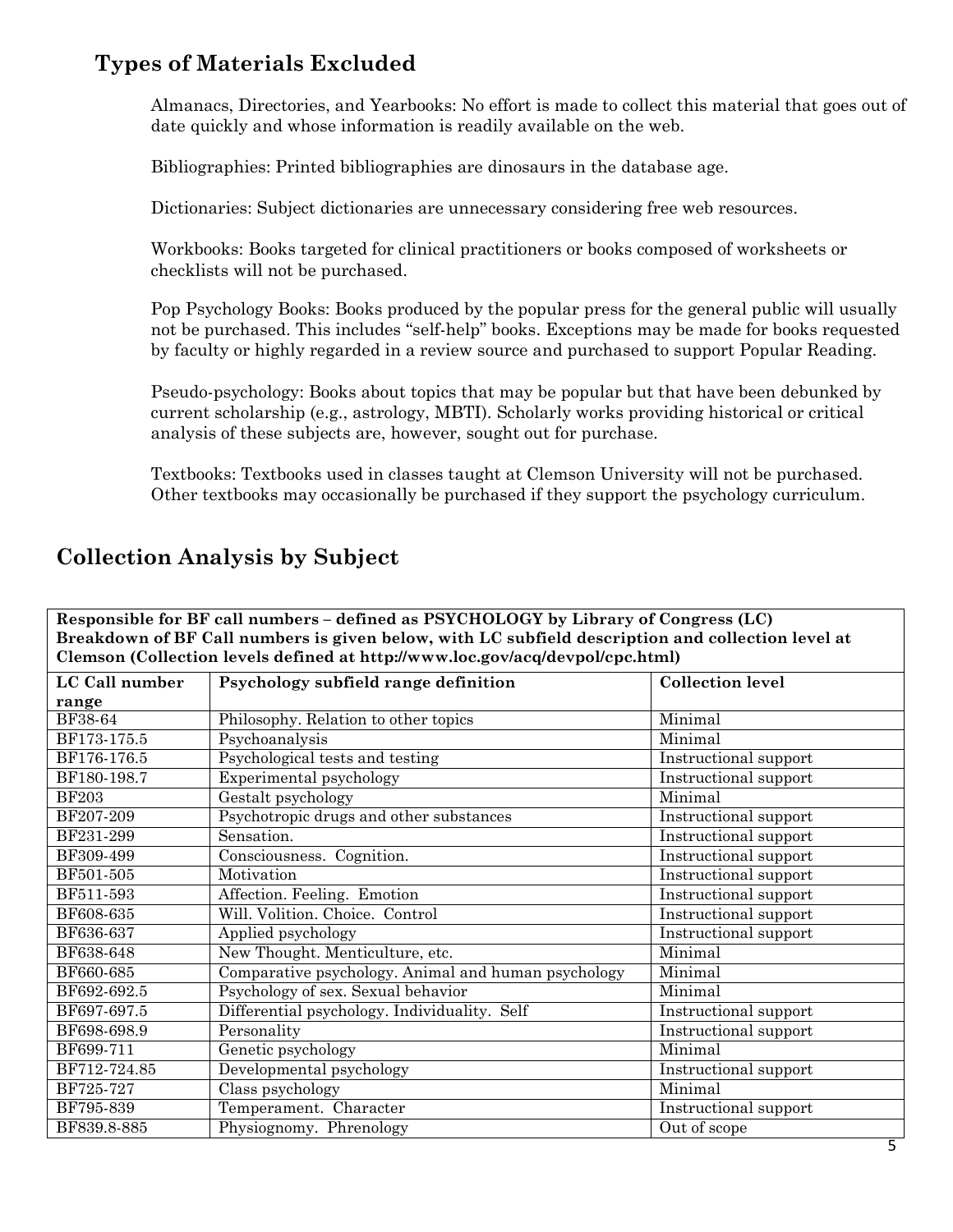# **Types of Materials Excluded**

Almanacs, Directories, and Yearbooks: No effort is made to collect this material that goes out of date quickly and whose information is readily available on the web.

Bibliographies: Printed bibliographies are dinosaurs in the database age.

Dictionaries: Subject dictionaries are unnecessary considering free web resources.

Workbooks: Books targeted for clinical practitioners or books composed of worksheets or checklists will not be purchased.

Pop Psychology Books: Books produced by the popular press for the general public will usually not be purchased. This includes "self-help" books. Exceptions may be made for books requested by faculty or highly regarded in a review source and purchased to support Popular Reading.

Pseudo-psychology: Books about topics that may be popular but that have been debunked by current scholarship (e.g., astrology, MBTI). Scholarly works providing historical or critical analysis of these subjects are, however, sought out for purchase.

Textbooks: Textbooks used in classes taught at Clemson University will not be purchased. Other textbooks may occasionally be purchased if they support the psychology curriculum.

| Breakdown of BF Call numbers is given below, with LC subfield description and collection level at |                                                     |                                |  |
|---------------------------------------------------------------------------------------------------|-----------------------------------------------------|--------------------------------|--|
| Clemson (Collection levels defined at http://www.loc.gov/acq/devpol/cpc.html)                     |                                                     |                                |  |
| LC Call number                                                                                    | Psychology subfield range definition                | <b>Collection level</b>        |  |
| range                                                                                             |                                                     |                                |  |
| <b>BF38-64</b>                                                                                    | Philosophy. Relation to other topics                | Minimal                        |  |
| BF173-175.5                                                                                       | $\overline{\text{P}}$ sychoanalysis                 | Minimal                        |  |
| BF176-176.5                                                                                       | Psychological tests and testing                     | Instructional support          |  |
| BF180-198.7                                                                                       | Experimental psychology                             | Instructional support          |  |
| <b>BF203</b>                                                                                      | Gestalt psychology                                  | Minimal                        |  |
| BF207-209                                                                                         | Psychotropic drugs and other substances             | Instructional support          |  |
| BF231-299                                                                                         | Sensation.                                          | Instructional support          |  |
| BF309-499                                                                                         | Consciousness. Cognition.                           | Instructional support          |  |
| BF501-505                                                                                         | Motivation                                          | Instructional support          |  |
| BF511-593                                                                                         | Affection. Feeling. Emotion                         | Instructional support          |  |
| BF608-635                                                                                         | Will. Volition. Choice. Control                     | Instructional support          |  |
| BF636-637                                                                                         | Applied psychology                                  | Instructional support          |  |
| BF638-648                                                                                         | New Thought. Menticulture, etc.                     | Minimal                        |  |
| BF660-685                                                                                         | Comparative psychology. Animal and human psychology | Minimal                        |  |
| BF692-692.5                                                                                       | Psychology of sex. Sexual behavior                  | Minimal                        |  |
| BF697-697.5                                                                                       | Differential psychology. Individuality. Self        | Instructional support          |  |
| BF698-698.9                                                                                       | Personality                                         | Instructional support          |  |
| BF699-711                                                                                         | Genetic psychology                                  | Minimal                        |  |
| BF712-724.85                                                                                      | Developmental psychology                            | Instructional support          |  |
| BF725-727                                                                                         | Class psychology                                    | Minimal                        |  |
| BF795-839                                                                                         | Temperament. Character                              | Instructional support          |  |
| BF839.8-885                                                                                       | Physiognomy. Phrenology                             | Out of scope<br>$\overline{a}$ |  |

**Responsible for BF call numbers – defined as PSYCHOLOGY by Library of Congress (LC)** 

# **Collection Analysis by Subject**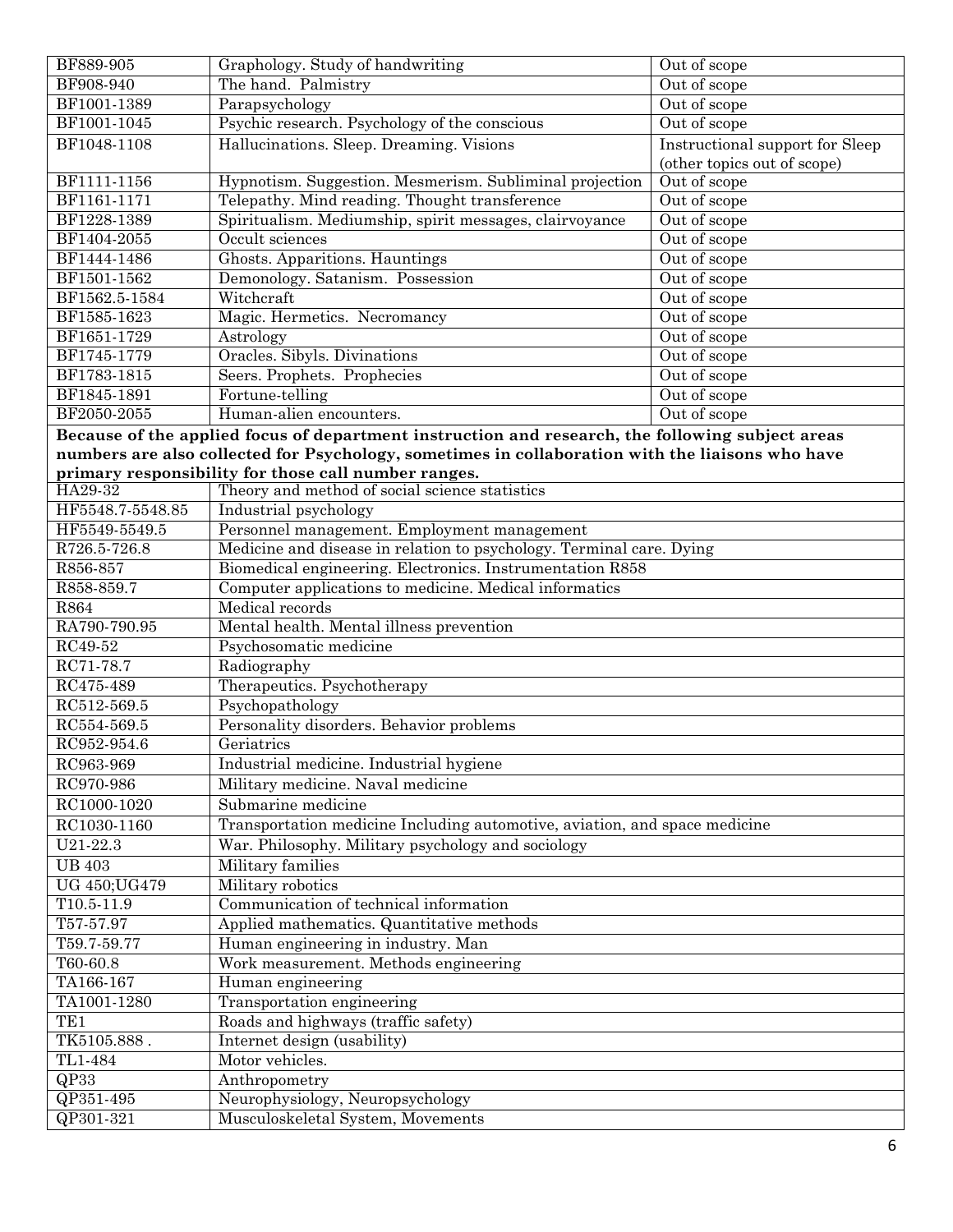| BF889-905         | Graphology. Study of handwriting                                                                 | Out of scope                           |  |
|-------------------|--------------------------------------------------------------------------------------------------|----------------------------------------|--|
| BF908-940         | The hand. Palmistry                                                                              | Out of scope                           |  |
| BF1001-1389       | Parapsychology                                                                                   | Out of scope                           |  |
| BF1001-1045       | Psychic research. Psychology of the conscious                                                    | Out of scope                           |  |
| BF1048-1108       | Hallucinations. Sleep. Dreaming. Visions                                                         | <b>Instructional support for Sleep</b> |  |
|                   |                                                                                                  | (other topics out of scope)            |  |
| BF1111-1156       | Hypnotism. Suggestion. Mesmerism. Subliminal projection                                          | Out of scope                           |  |
| BF1161-1171       | Telepathy. Mind reading. Thought transference                                                    | Out of scope                           |  |
| BF1228-1389       | Spiritualism. Mediumship, spirit messages, clairvoyance                                          | Out of scope                           |  |
| BF1404-2055       | Occult sciences                                                                                  | Out of scope                           |  |
| BF1444-1486       | Ghosts. Apparitions. Hauntings                                                                   | Out of scope                           |  |
| BF1501-1562       | Demonology. Satanism. Possession                                                                 | Out of scope                           |  |
| BF1562.5-1584     | Witchcraft                                                                                       | Out of scope                           |  |
| BF1585-1623       | Magic. Hermetics. Necromancy                                                                     | Out of scope                           |  |
| BF1651-1729       | Astrology                                                                                        | Out of scope                           |  |
| BF1745-1779       | Oracles. Sibyls. Divinations                                                                     | Out of scope                           |  |
| BF1783-1815       | Seers. Prophets. Prophecies                                                                      | Out of scope                           |  |
| BF1845-1891       | Fortune-telling                                                                                  | Out of scope                           |  |
| BF2050-2055       | Human-alien encounters.                                                                          | Out of scope                           |  |
|                   |                                                                                                  |                                        |  |
|                   | Because of the applied focus of department instruction and research, the following subject areas |                                        |  |
|                   | numbers are also collected for Psychology, sometimes in collaboration with the liaisons who have |                                        |  |
| HA29-32           | primary responsibility for those call number ranges.                                             |                                        |  |
|                   | Theory and method of social science statistics                                                   |                                        |  |
| HF5548.7-5548.85  | Industrial psychology                                                                            |                                        |  |
| HF5549-5549.5     | Personnel management. Employment management                                                      |                                        |  |
| R726.5-726.8      | Medicine and disease in relation to psychology. Terminal care. Dying                             |                                        |  |
| R856-857          | Biomedical engineering. Electronics. Instrumentation R858                                        |                                        |  |
| R858-859.7        | Computer applications to medicine. Medical informatics                                           |                                        |  |
| R864              | Medical records                                                                                  |                                        |  |
| RA790-790.95      | Mental health. Mental illness prevention                                                         |                                        |  |
| RC49-52           | Psychosomatic medicine                                                                           |                                        |  |
| RC71-78.7         | Radiography                                                                                      |                                        |  |
| RC475-489         | Therapeutics. Psychotherapy                                                                      |                                        |  |
| RC512-569.5       | Psychopathology                                                                                  |                                        |  |
| RC554-569.5       | Personality disorders. Behavior problems                                                         |                                        |  |
| RC952-954.6       | Geriatrics                                                                                       |                                        |  |
| RC963-969         | Industrial medicine. Industrial hygiene                                                          |                                        |  |
| RC970-986         | Military medicine. Naval medicine                                                                |                                        |  |
| RC1000-1020       | Submarine medicine                                                                               |                                        |  |
| RC1030-1160       | Transportation medicine Including automotive, aviation, and space medicine                       |                                        |  |
| U21-22.3          | War. Philosophy. Military psychology and sociology                                               |                                        |  |
| <b>UB 403</b>     | Military families                                                                                |                                        |  |
| UG 450; UG479     | Military robotics                                                                                |                                        |  |
| $T10.5 - 11.9$    | Communication of technical information                                                           |                                        |  |
| T57-57.97         | Applied mathematics. Quantitative methods                                                        |                                        |  |
| T59.7-59.77       | Human engineering in industry. Man                                                               |                                        |  |
| T60-60.8          | Work measurement. Methods engineering                                                            |                                        |  |
| TA166-167         | Human engineering                                                                                |                                        |  |
| TA1001-1280       | Transportation engineering                                                                       |                                        |  |
| TE <sub>1</sub>   | Roads and highways (traffic safety)                                                              |                                        |  |
|                   |                                                                                                  |                                        |  |
| TK5105.888.       | Internet design (usability)                                                                      |                                        |  |
| TL1-484           | Motor vehicles.                                                                                  |                                        |  |
| $\overline{QP33}$ | Anthropometry                                                                                    |                                        |  |
| $QP351 - 495$     | Neurophysiology, Neuropsychology                                                                 |                                        |  |
| QP301-321         | Musculoskeletal System, Movements                                                                |                                        |  |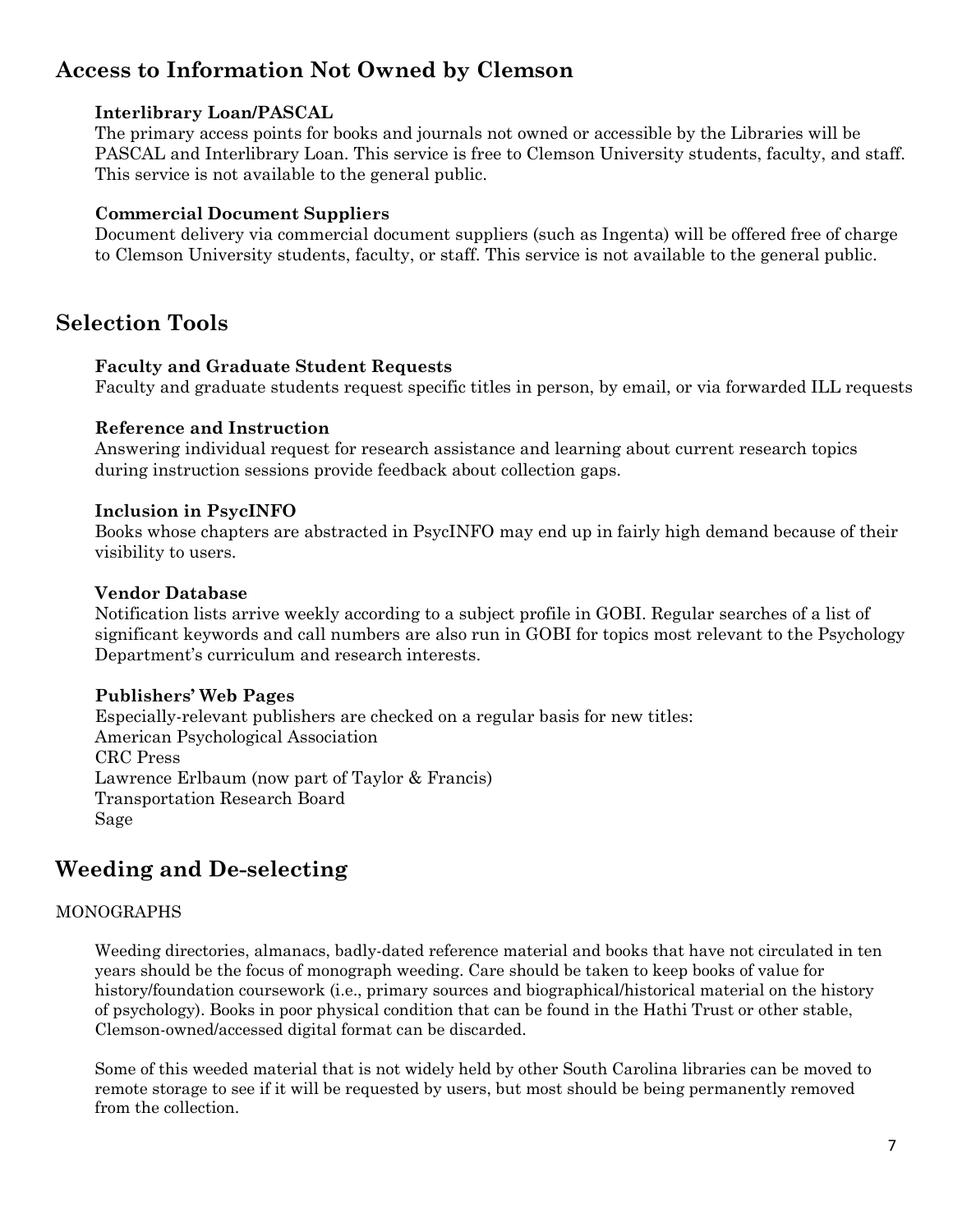# **Access to Information Not Owned by Clemson**

### **Interlibrary Loan/PASCAL**

The primary access points for books and journals not owned or accessible by the Libraries will be PASCAL and Interlibrary Loan. This service is free to Clemson University students, faculty, and staff. This service is not available to the general public.

### **Commercial Document Suppliers**

Document delivery via commercial document suppliers (such as Ingenta) will be offered free of charge to Clemson University students, faculty, or staff. This service is not available to the general public.

### **Selection Tools**

### **Faculty and Graduate Student Requests**

Faculty and graduate students request specific titles in person, by email, or via forwarded ILL requests

### **Reference and Instruction**

Answering individual request for research assistance and learning about current research topics during instruction sessions provide feedback about collection gaps.

### **Inclusion in PsycINFO**

Books whose chapters are abstracted in PsycINFO may end up in fairly high demand because of their visibility to users.

### **Vendor Database**

Notification lists arrive weekly according to a subject profile in GOBI. Regular searches of a list of significant keywords and call numbers are also run in GOBI for topics most relevant to the Psychology Department's curriculum and research interests.

### **Publishers' Web Pages**

Especially-relevant publishers are checked on a regular basis for new titles: American Psychological Association CRC Press Lawrence Erlbaum (now part of Taylor & Francis) Transportation Research Board Sage

# **Weeding and De-selecting**

### MONOGRAPHS

Weeding directories, almanacs, badly-dated reference material and books that have not circulated in ten years should be the focus of monograph weeding. Care should be taken to keep books of value for history/foundation coursework (i.e., primary sources and biographical/historical material on the history of psychology). Books in poor physical condition that can be found in the Hathi Trust or other stable, Clemson-owned/accessed digital format can be discarded.

Some of this weeded material that is not widely held by other South Carolina libraries can be moved to remote storage to see if it will be requested by users, but most should be being permanently removed from the collection.